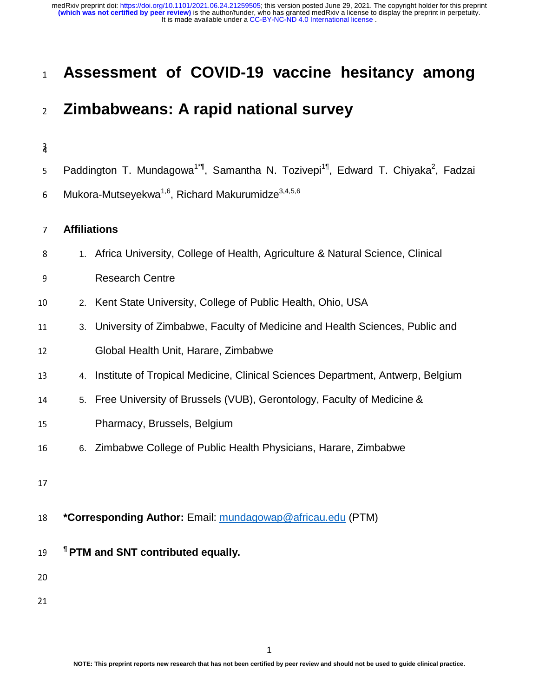## <sup>1</sup>**Assessment of COVID-19 vaccine hesitancy among**

## <sup>2</sup>**Zimbabweans: A rapid national survey**

#### $\overline{a}$

- 5 Paddington T. Mundagowa<sup>1\*¶</sup>, Samantha N. Tozivepi<sup>1¶</sup>, Edward T. Chiyaka<sup>2</sup>, Fadzai
- 6 Mukora-Mutseyekwa<sup>1,6</sup>, Richard Makurumidze<sup>3,4,5,6</sup>

#### <sup>7</sup>**Affiliations**

- 8 1. Africa University, College of Health, Agriculture & Natural Science, Clinical
- 9 Research Centre
- <sup>10</sup>2. Kent State University, College of Public Health, Ohio, USA
- 11 3. University of Zimbabwe, Faculty of Medicine and Health Sciences, Public and
- 12 **Global Health Unit, Harare, Zimbabwe**
- <sup>13</sup>4. Institute of Tropical Medicine, Clinical Sciences Department, Antwerp, Belgium
- 14 5. Free University of Brussels (VUB), Gerontology, Faculty of Medicine &
- 15 Pharmacy, Brussels, Belgium
- <sup>16</sup>6. Zimbabwe College of Public Health Physicians, Harare, Zimbabwe
- 17
- <sup>18</sup>**\*Corresponding Author:** Email: mundagowap@africau.edu (PTM)
- **¶** <sup>19</sup>**PTM and SNT contributed equally.**

20

 $\overline{a}$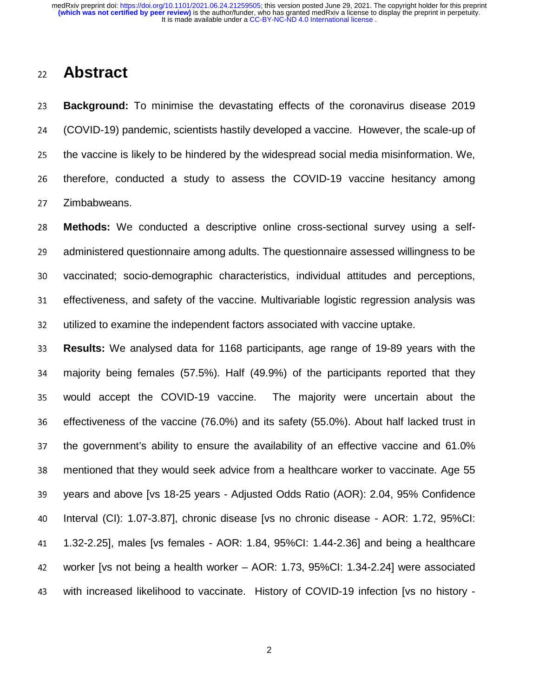## <sup>22</sup>**Abstract**

<sup>23</sup>**Background:** To minimise the devastating effects of the coronavirus disease 2019 <sup>24</sup>(COVID-19) pandemic, scientists hastily developed a vaccine. However, the scale-up of 25 the vaccine is likely to be hindered by the widespread social media misinformation. We, 26 therefore, conducted a study to assess the COVID-19 vaccine hesitancy among 27 Zimbabweans.

28 **Methods:** We conducted a descriptive online cross-sectional survey using a self-29 administered questionnaire among adults. The questionnaire assessed willingness to be 30 vaccinated; socio-demographic characteristics, individual attitudes and perceptions, 31 effectiveness, and safety of the vaccine. Multivariable logistic regression analysis was 32 utilized to examine the independent factors associated with vaccine uptake.

<sup>33</sup>**Results:** We analysed data for 1168 participants, age range of 19-89 years with the <sup>34</sup>majority being females (57.5%). Half (49.9%) of the participants reported that they 35 would accept the COVID-19 vaccine. The majority were uncertain about the 36 effectiveness of the vaccine (76.0%) and its safety (55.0%). About half lacked trust in 37 the government's ability to ensure the availability of an effective vaccine and 61.0% 38 mentioned that they would seek advice from a healthcare worker to vaccinate. Age 55 39 vears and above [vs 18-25 years - Adjusted Odds Ratio (AOR): 2.04, 95% Confidence <sup>40</sup>Interval (CI): 1.07-3.87], chronic disease [vs no chronic disease - AOR: 1.72, 95%CI: <sup>41</sup>1.32-2.25], males [vs females - AOR: 1.84, 95%CI: 1.44-2.36] and being a healthcare 42 worker [vs not being a health worker – AOR: 1.73, 95%CI: 1.34-2.24] were associated 43 with increased likelihood to vaccinate. History of COVID-19 infection [vs no history -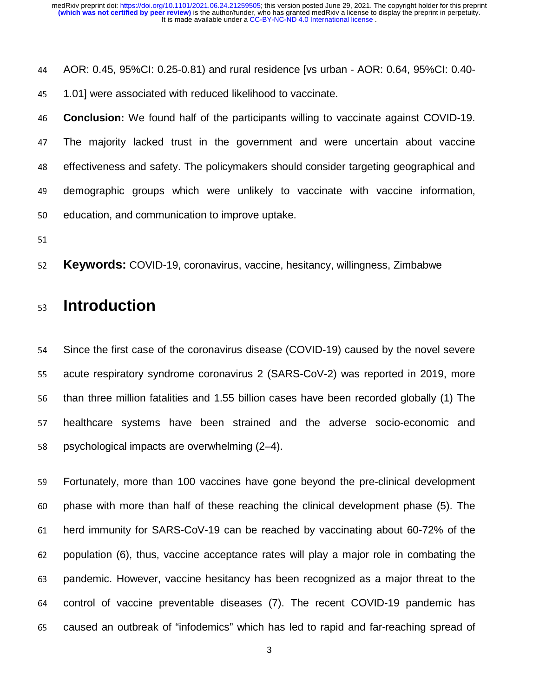<sup>44</sup>AOR: 0.45, 95%CI: 0.25-0.81) and rural residence [vs urban - AOR: 0.64, 95%CI: 0.40-

45 1.01] were associated with reduced likelihood to vaccinate.

<sup>46</sup>**Conclusion:** We found half of the participants willing to vaccinate against COVID-19. <sup>47</sup>The majority lacked trust in the government and were uncertain about vaccine 48 effectiveness and safety. The policymakers should consider targeting geographical and 49 demographic groups which were unlikely to vaccinate with vaccine information, 50 education, and communication to improve uptake.

<sup>52</sup>**Keywords:** COVID-19, coronavirus, vaccine, hesitancy, willingness, Zimbabwe

## <sup>53</sup>**Introduction**

54 Since the first case of the coronavirus disease (COVID-19) caused by the novel severe 55 acute respiratory syndrome coronavirus 2 (SARS-CoV-2) was reported in 2019, more 56 than three million fatalities and 1.55 billion cases have been recorded globally (1) The 57 healthcare systems have been strained and the adverse socio-economic and 58 psychological impacts are overwhelming  $(2-4)$ .

59 Fortunately, more than 100 vaccines have gone beyond the pre-clinical development 60 phase with more than half of these reaching the clinical development phase (5). The <sup>61</sup>herd immunity for SARS-CoV-19 can be reached by vaccinating about 60-72% of the 62 population (6), thus, vaccine acceptance rates will play a major role in combating the 63 pandemic. However, vaccine hesitancy has been recognized as a major threat to the 64 control of vaccine preventable diseases (7). The recent COVID-19 pandemic has 65 caused an outbreak of "infodemics" which has led to rapid and far-reaching spread of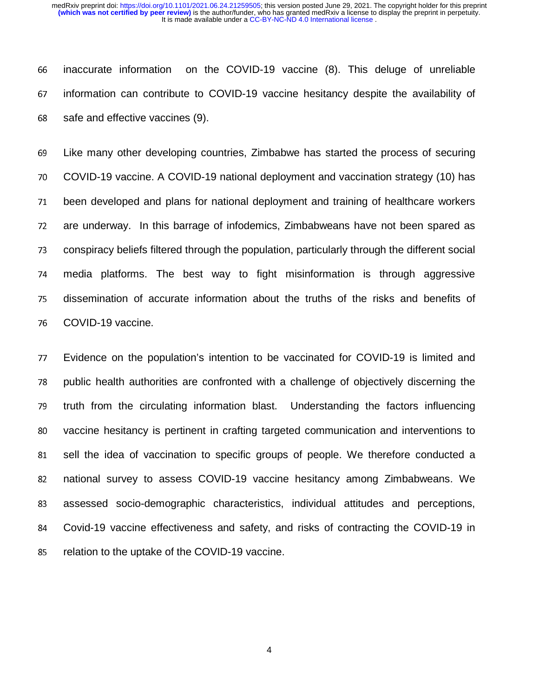<sup>66</sup>inaccurate information on the COVID-19 vaccine (8). This deluge of unreliable <sup>67</sup>information can contribute to COVID-19 vaccine hesitancy despite the availability of 68 safe and effective vaccines (9).

<sup>69</sup>Like many other developing countries, Zimbabwe has started the process of securing <sup>70</sup>COVID-19 vaccine. A COVID-19 national deployment and vaccination strategy (10) has 71 been developed and plans for national deployment and training of healthcare workers 72 are underway. In this barrage of infodemics, Zimbabweans have not been spared as 73 conspiracy beliefs filtered through the population, particularly through the different social <sup>74</sup>media platforms. The best way to fight misinformation is through aggressive <sup>75</sup>dissemination of accurate information about the truths of the risks and benefits of 76 COVID-19 vaccine.

<sup>77</sup>Evidence on the population's intention to be vaccinated for COVID-19 is limited and 78 public health authorities are confronted with a challenge of objectively discerning the 79 truth from the circulating information blast. Understanding the factors influencing 80 vaccine hesitancy is pertinent in crafting targeted communication and interventions to 81 sell the idea of vaccination to specific groups of people. We therefore conducted a 82 national survey to assess COVID-19 vaccine hesitancy among Zimbabweans. We 83 assessed socio-demographic characteristics, individual attitudes and perceptions, <sup>84</sup>Covid-19 vaccine effectiveness and safety, and risks of contracting the COVID-19 in 85 relation to the uptake of the COVID-19 vaccine.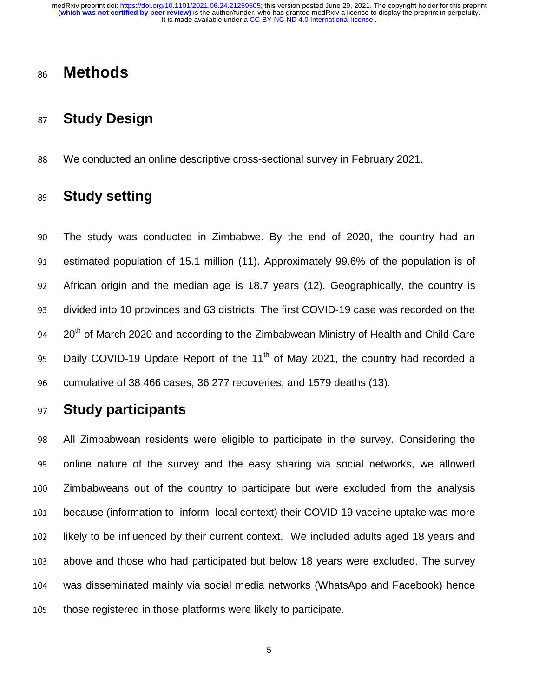## <sup>86</sup>**Methods**

## <sup>87</sup>**Study Design**

<sup>88</sup>We conducted an online descriptive cross-sectional survey in February 2021.

## <sup>89</sup>**Study setting**

<sup>90</sup>The study was conducted in Zimbabwe. By the end of 2020, the country had an 91 estimated population of 15.1 million (11). Approximately 99.6% of the population is of <sup>92</sup>African origin and the median age is 18.7 years (12). Geographically, the country is 93 divided into 10 provinces and 63 districts. The first COVID-19 case was recorded on the 94 20<sup>th</sup> of March 2020 and according to the Zimbabwean Ministry of Health and Child Care 95 Daily COVID-19 Update Report of the 11<sup>th</sup> of May 2021, the country had recorded a <sup>96</sup>cumulative of 38 466 cases, 36 277 recoveries, and 1579 deaths (13).

## <sup>97</sup>**Study participants**

All Zimbabwean residents were eligible to participate in the survey. Considering the online nature of the survey and the easy sharing via social networks, we allowed Zimbabweans out of the country to participate but were excluded from the analysis because (information to inform local context) their COVID-19 vaccine uptake was more 102 likely to be influenced by their current context. We included adults aged 18 years and 103 above and those who had participated but below 18 years were excluded. The survey was disseminated mainly via social media networks (WhatsApp and Facebook) hence 105 those registered in those platforms were likely to participate.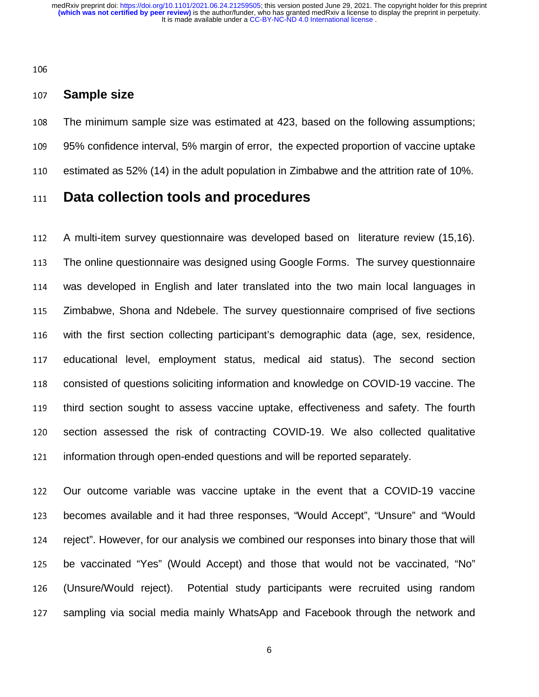#### <sup>107</sup>**Sample size**

108 The minimum sample size was estimated at 423, based on the following assumptions; 109 95% confidence interval, 5% margin of error, the expected proportion of vaccine uptake 110 estimated as 52% (14) in the adult population in Zimbabwe and the attrition rate of 10%.

### <sup>111</sup>**Data collection tools and procedures**

112 A multi-item survey questionnaire was developed based on literature review (15,16). <sup>113</sup>The online questionnaire was designed using Google Forms. The survey questionnaire <sup>114</sup>was developed in English and later translated into the two main local languages in 115 Zimbabwe, Shona and Ndebele. The survey questionnaire comprised of five sections 116 with the first section collecting participant's demographic data (age, sex, residence, 117 educational level, employment status, medical aid status). The second section 118 consisted of questions soliciting information and knowledge on COVID-19 vaccine. The 119 third section sought to assess vaccine uptake, effectiveness and safety. The fourth 120 section assessed the risk of contracting COVID-19. We also collected qualitative 121 information through open-ended questions and will be reported separately.

122 Our outcome variable was vaccine uptake in the event that a COVID-19 vaccine 123 becomes available and it had three responses, "Would Accept", "Unsure" and "Would 124 reject". However, for our analysis we combined our responses into binary those that will 125 be vaccinated "Yes" (Would Accept) and those that would not be vaccinated, "No" <sup>126</sup>(Unsure/Would reject). Potential study participants were recruited using random 127 sampling via social media mainly WhatsApp and Facebook through the network and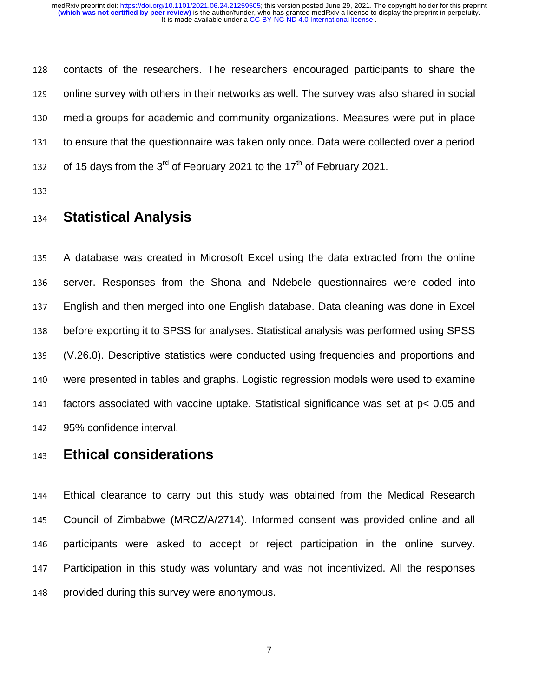128 contacts of the researchers. The researchers encouraged participants to share the 129 online survey with others in their networks as well. The survey was also shared in social <sup>130</sup>media groups for academic and community organizations. Measures were put in place 131 to ensure that the questionnaire was taken only once. Data were collected over a period 132 of 15 days from the  $3<sup>rd</sup>$  of February 2021 to the 17<sup>th</sup> of February 2021.

133

## <sup>134</sup>**Statistical Analysis**

135 A database was created in Microsoft Excel using the data extracted from the online 136 server. Responses from the Shona and Ndebele questionnaires were coded into <sup>137</sup>English and then merged into one English database. Data cleaning was done in Excel 138 before exporting it to SPSS for analyses. Statistical analysis was performed using SPSS <sup>139</sup>(V.26.0). Descriptive statistics were conducted using frequencies and proportions and 140 were presented in tables and graphs. Logistic regression models were used to examine 141 factors associated with vaccine uptake. Statistical significance was set at p< 0.05 and 142 95% confidence interval.

## <sup>143</sup>**Ethical considerations**

<sup>144</sup>Ethical clearance to carry out this study was obtained from the Medical Research 145 Council of Zimbabwe (MRCZ/A/2714). Informed consent was provided online and all 146 participants were asked to accept or reject participation in the online survey. 147 Participation in this study was voluntary and was not incentivized. All the responses 148 provided during this survey were anonymous.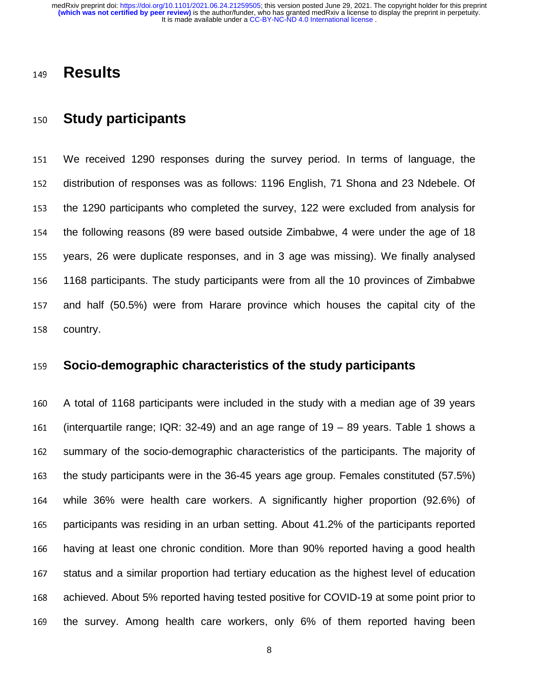## <sup>149</sup>**Results**

## <sup>150</sup>**Study participants**

<sup>151</sup>We received 1290 responses during the survey period. In terms of language, the 152 distribution of responses was as follows: 1196 English, 71 Shona and 23 Ndebele. Of 153 the 1290 participants who completed the survey, 122 were excluded from analysis for 154 the following reasons (89 were based outside Zimbabwe, 4 were under the age of 18 155 years, 26 were duplicate responses, and in 3 age was missing). We finally analysed 156 1168 participants. The study participants were from all the 10 provinces of Zimbabwe 157 and half (50.5%) were from Harare province which houses the capital city of the 158 country.

### <sup>159</sup>**Socio-demographic characteristics of the study participants**

<sup>160</sup>A total of 1168 participants were included in the study with a median age of 39 years 161 (interquartile range; IQR: 32-49) and an age range of  $19 - 89$  years. Table 1 shows a 162 summary of the socio-demographic characteristics of the participants. The majority of 163 the study participants were in the 36-45 years age group. Females constituted (57.5%) 164 while 36% were health care workers. A significantly higher proportion (92.6%) of 165 participants was residing in an urban setting. About 41.2% of the participants reported 166 having at least one chronic condition. More than 90% reported having a good health 167 status and a similar proportion had tertiary education as the highest level of education 168 achieved. About 5% reported having tested positive for COVID-19 at some point prior to 169 the survey. Among health care workers, only 6% of them reported having been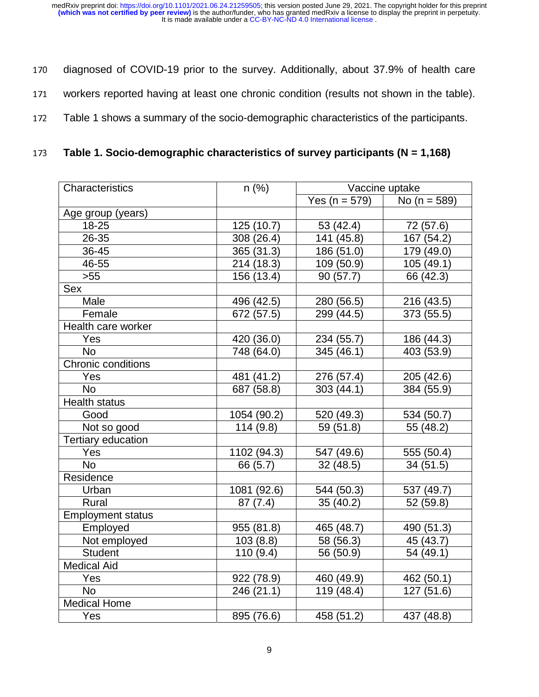- 170 diagnosed of COVID-19 prior to the survey. Additionally, about 37.9% of health care
- 171 workers reported having at least one chronic condition (results not shown in the table).
- 172 Table 1 shows a summary of the socio-demographic characteristics of the participants.
- <sup>173</sup>**Table 1. Socio-demographic characteristics of survey participants (N = 1,168)**

| Characteristics          | $n$ (%)     | Vaccine uptake    |                  |  |  |  |
|--------------------------|-------------|-------------------|------------------|--|--|--|
|                          |             | Yes ( $n = 579$ ) | No ( $n = 589$ ) |  |  |  |
| Age group (years)        |             |                   |                  |  |  |  |
| 18-25                    | 125 (10.7)  | 53 (42.4)         | 72 (57.6)        |  |  |  |
| 26-35                    | 308 (26.4)  | 141 (45.8)        | 167 (54.2)       |  |  |  |
| 36-45                    | 365 (31.3)  | 186 (51.0)        | 179 (49.0)       |  |  |  |
| 46-55                    | 214 (18.3)  | 109 (50.9)        | 105 (49.1)       |  |  |  |
| $>55$                    | 156 (13.4)  | 90(57.7)          | 66 (42.3)        |  |  |  |
| <b>Sex</b>               |             |                   |                  |  |  |  |
| Male                     | 496 (42.5)  | 280 (56.5)        | 216 (43.5)       |  |  |  |
| Female                   | 672 (57.5)  | 299 (44.5)        | 373 (55.5)       |  |  |  |
| Health care worker       |             |                   |                  |  |  |  |
| Yes                      | 420 (36.0)  | 234 (55.7)        | 186 (44.3)       |  |  |  |
| <b>No</b>                | 748 (64.0)  | 345 (46.1)        | 403 (53.9)       |  |  |  |
| Chronic conditions       |             |                   |                  |  |  |  |
| Yes                      | 481 (41.2)  | 276 (57.4)        | 205 (42.6)       |  |  |  |
| <b>No</b>                | 687 (58.8)  | 303 (44.1)        | 384 (55.9)       |  |  |  |
| <b>Health status</b>     |             |                   |                  |  |  |  |
| Good                     | 1054 (90.2) | 520 (49.3)        | 534 (50.7)       |  |  |  |
| Not so good              | 114(9.8)    | 59 (51.8)         | 55 (48.2)        |  |  |  |
| Tertiary education       |             |                   |                  |  |  |  |
| Yes                      | 1102 (94.3) | 547 (49.6)        | 555 (50.4)       |  |  |  |
| <b>No</b>                | 66 (5.7)    | 32(48.5)          | 34(51.5)         |  |  |  |
| Residence                |             |                   |                  |  |  |  |
| Urban                    | 1081 (92.6) | 544 (50.3)        | 537 (49.7)       |  |  |  |
| <b>Rural</b>             | 87(7.4)     | 35(40.2)          | 52 (59.8)        |  |  |  |
| <b>Employment status</b> |             |                   |                  |  |  |  |
| Employed                 | 955 (81.8)  | 465 (48.7)        | 490 (51.3)       |  |  |  |
| Not employed             | 103(8.8)    | 58 (56.3)         | 45 (43.7)        |  |  |  |
| <b>Student</b>           | 110(9.4)    | 56 (50.9)         | 54 (49.1)        |  |  |  |
| <b>Medical Aid</b>       |             |                   |                  |  |  |  |
| Yes                      | 922 (78.9)  | 460 (49.9)        | 462 (50.1)       |  |  |  |
| <b>No</b>                | 246 (21.1)  | 119 (48.4)        | 127 (51.6)       |  |  |  |
| <b>Medical Home</b>      |             |                   |                  |  |  |  |
| Yes                      | 895 (76.6)  | 458 (51.2)        | 437 (48.8)       |  |  |  |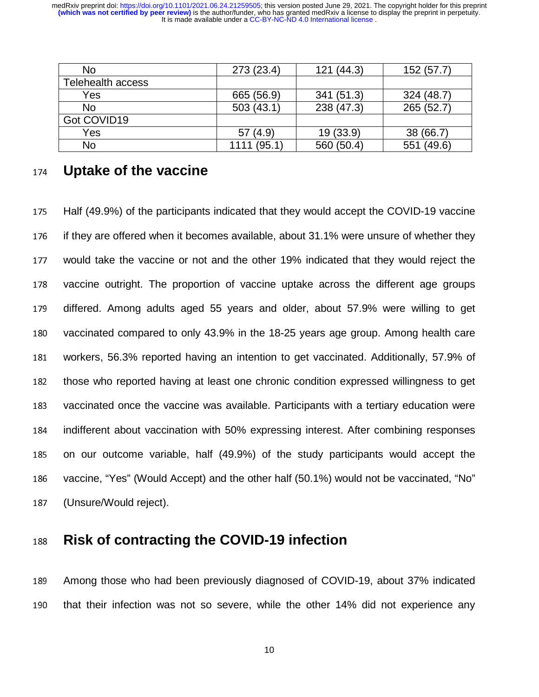| <b>No</b>                | 273 (23.4)  | 121(44.3)  | 152 (57.7) |
|--------------------------|-------------|------------|------------|
| <b>Telehealth access</b> |             |            |            |
| Yes                      | 665 (56.9)  | 341 (51.3) | 324 (48.7) |
| <b>No</b>                | 503(43.1)   | 238 (47.3) | 265 (52.7) |
| Got COVID19              |             |            |            |
| Yes                      | 57(4.9)     | 19 (33.9)  | 38 (66.7)  |
| No                       | 1111 (95.1) | 560 (50.4) | 551 (49.6) |

### <sup>174</sup>**Uptake of the vaccine**

175 Half (49.9%) of the participants indicated that they would accept the COVID-19 vaccine 176 if they are offered when it becomes available, about 31.1% were unsure of whether they 177 would take the vaccine or not and the other 19% indicated that they would reject the 178 vaccine outright. The proportion of vaccine uptake across the different age groups 179 differed. Among adults aged 55 years and older, about 57.9% were willing to get 180 vaccinated compared to only 43.9% in the 18-25 years age group. Among health care 181 workers, 56.3% reported having an intention to get vaccinated. Additionally, 57.9% of 182 those who reported having at least one chronic condition expressed willingness to get 183 vaccinated once the vaccine was available. Participants with a tertiary education were 184 indifferent about vaccination with 50% expressing interest. After combining responses 185 on our outcome variable, half (49.9%) of the study participants would accept the 186 vaccine, "Yes" (Would Accept) and the other half (50.1%) would not be vaccinated, "No" 187 (Unsure/Would reject).

## <sup>188</sup>**Risk of contracting the COVID-19 infection**

189 Among those who had been previously diagnosed of COVID-19, about 37% indicated 190 that their infection was not so severe, while the other 14% did not experience any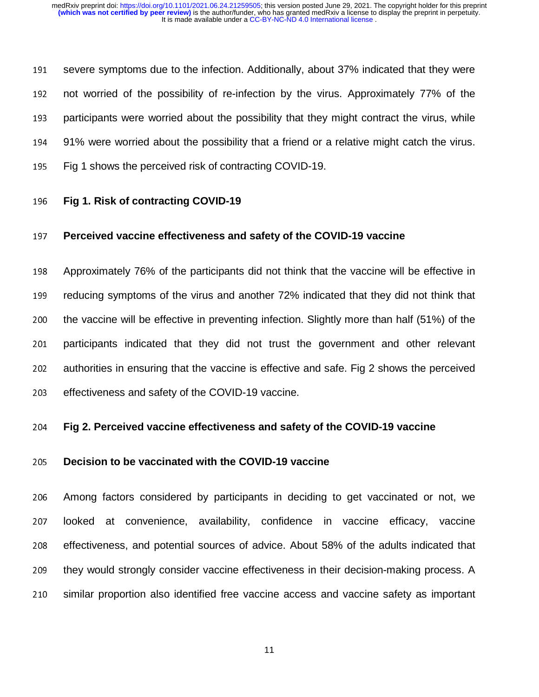191 severe symptoms due to the infection. Additionally, about 37% indicated that they were 192 not worried of the possibility of re-infection by the virus. Approximately 77% of the 193 participants were worried about the possibility that they might contract the virus, while 194 91% were worried about the possibility that a friend or a relative might catch the virus. 195 Fig 1 shows the perceived risk of contracting COVID-19.

#### <sup>196</sup>**Fig 1. Risk of contracting COVID-19**

#### <sup>197</sup>**Perceived vaccine effectiveness and safety of the COVID-19 vaccine**

198 Approximately 76% of the participants did not think that the vaccine will be effective in 199 reducing symptoms of the virus and another 72% indicated that they did not think that 200 the vaccine will be effective in preventing infection. Slightly more than half (51%) of the 201 participants indicated that they did not trust the government and other relevant 202 authorities in ensuring that the vaccine is effective and safe. Fig 2 shows the perceived 203 effectiveness and safety of the COVID-19 vaccine.

#### <sup>204</sup>**Fig 2. Perceived vaccine effectiveness and safety of the COVID-19 vaccine**

#### <sup>205</sup>**Decision to be vaccinated with the COVID-19 vaccine**

<sup>206</sup>Among factors considered by participants in deciding to get vaccinated or not, we 207 looked at convenience, availability, confidence in vaccine efficacy, vaccine 208 effectiveness, and potential sources of advice. About 58% of the adults indicated that 209 they would strongly consider vaccine effectiveness in their decision-making process. A 210 similar proportion also identified free vaccine access and vaccine safety as important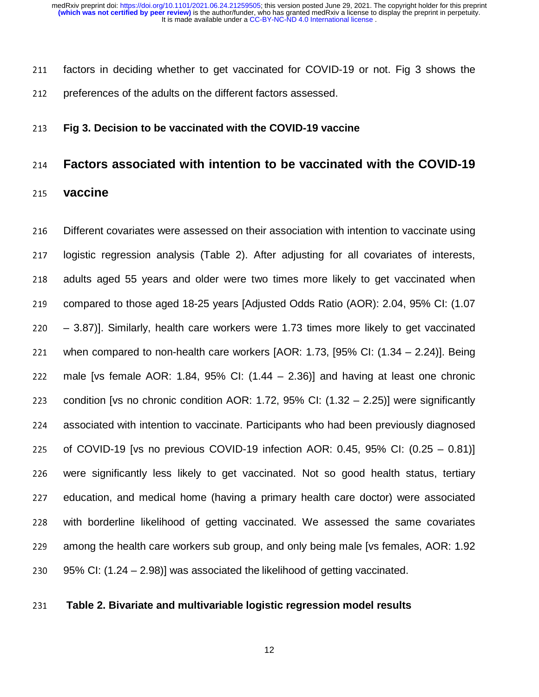211 factors in deciding whether to get vaccinated for COVID-19 or not. Fig 3 shows the 212 preferences of the adults on the different factors assessed.

#### <sup>213</sup>**Fig 3. Decision to be vaccinated with the COVID-19 vaccine**

### <sup>214</sup>**Factors associated with intention to be vaccinated with the COVID-19**

<sup>215</sup>**vaccine** 

216 Different covariates were assessed on their association with intention to vaccinate using 217 logistic regression analysis (Table 2). After adjusting for all covariates of interests, 218 adults aged 55 years and older were two times more likely to get vaccinated when 219 compared to those aged 18-25 years [Adjusted Odds Ratio (AOR): 2.04, 95% CI: (1.07 <sup>220</sup>– 3.87)]. Similarly, health care workers were 1.73 times more likely to get vaccinated 221 when compared to non-health care workers  $[AOR: 1.73, [95\% CI: (1.34 - 2.24)].$  Being 222 male [vs female AOR: 1.84, 95% CI:  $(1.44 - 2.36)$ ] and having at least one chronic 223 condition [vs no chronic condition AOR: 1.72, 95% CI:  $(1.32 - 2.25)$ ] were significantly 224 associated with intention to vaccinate. Participants who had been previously diagnosed 225 of COVID-19 [vs no previous COVID-19 infection AOR: 0.45, 95% CI:  $(0.25 - 0.81)$ ] 226 were significantly less likely to get vaccinated. Not so good health status, tertiary 227 education, and medical home (having a primary health care doctor) were associated 228 with borderline likelihood of getting vaccinated. We assessed the same covariates 229 among the health care workers sub group, and only being male [vs females, AOR: 1.92 230 95% CI:  $(1.24 - 2.98)$ ] was associated the likelihood of getting vaccinated.

#### <sup>231</sup>**Table 2. Bivariate and multivariable logistic regression model results**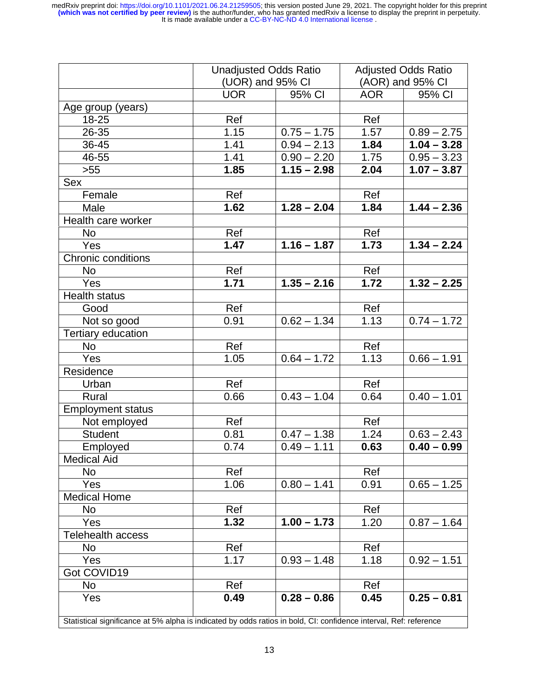|                                                                                                                   |            | <b>Unadjusted Odds Ratio</b><br>(UOR) and 95% CI |            | <b>Adjusted Odds Ratio</b><br>(AOR) and 95% CI |  |  |  |
|-------------------------------------------------------------------------------------------------------------------|------------|--------------------------------------------------|------------|------------------------------------------------|--|--|--|
|                                                                                                                   | <b>UOR</b> |                                                  | <b>AOR</b> | 95% CI                                         |  |  |  |
|                                                                                                                   |            | 95% CI                                           |            |                                                |  |  |  |
| Age group (years)                                                                                                 |            |                                                  |            |                                                |  |  |  |
| 18-25                                                                                                             | Ref        |                                                  | Ref        |                                                |  |  |  |
| 26-35                                                                                                             | 1.15       | $0.75 - 1.75$                                    | 1.57       | $0.89 - 2.75$                                  |  |  |  |
| 36-45                                                                                                             | 1.41       | $0.94 - 2.13$                                    | 1.84       | $1.04 - 3.28$                                  |  |  |  |
| 46-55                                                                                                             | 1.41       | $0.90 - 2.20$                                    | 1.75       | $0.95 - 3.23$                                  |  |  |  |
| $>55$                                                                                                             | 1.85       | $1.15 - 2.98$                                    | 2.04       | $1.07 - 3.87$                                  |  |  |  |
| <b>Sex</b>                                                                                                        |            |                                                  |            |                                                |  |  |  |
| Female                                                                                                            | Ref        |                                                  | Ref        |                                                |  |  |  |
| Male                                                                                                              | 1.62       | $1.28 - 2.04$                                    | 1.84       | $1.44 - 2.36$                                  |  |  |  |
| Health care worker                                                                                                |            |                                                  |            |                                                |  |  |  |
| No                                                                                                                | Ref        |                                                  | Ref        |                                                |  |  |  |
| Yes                                                                                                               | 1.47       | $1.16 - 1.87$                                    | 1.73       | $1.34 - 2.24$                                  |  |  |  |
| <b>Chronic conditions</b>                                                                                         |            |                                                  |            |                                                |  |  |  |
| <b>No</b>                                                                                                         | Ref        |                                                  | Ref        |                                                |  |  |  |
| Yes                                                                                                               | 1.71       | $1.35 - 2.16$                                    | 1.72       | $\overline{1.32} - 2.25$                       |  |  |  |
| <b>Health status</b>                                                                                              |            |                                                  |            |                                                |  |  |  |
| Good                                                                                                              | Ref        |                                                  | Ref        |                                                |  |  |  |
| Not so good                                                                                                       | 0.91       | $0.62 - 1.34$                                    | 1.13       | $0.74 - 1.72$                                  |  |  |  |
| Tertiary education                                                                                                |            |                                                  |            |                                                |  |  |  |
| No                                                                                                                | Ref        |                                                  | Ref        |                                                |  |  |  |
| Yes                                                                                                               | 1.05       | $0.64 - 1.72$                                    | 1.13       | $0.66 - 1.91$                                  |  |  |  |
| Residence                                                                                                         |            |                                                  |            |                                                |  |  |  |
| Urban                                                                                                             | Ref        |                                                  | Ref        |                                                |  |  |  |
| Rural                                                                                                             | 0.66       | $0.43 - 1.04$                                    | 0.64       | $0.40 - 1.01$                                  |  |  |  |
| Employment status                                                                                                 |            |                                                  |            |                                                |  |  |  |
| Not employed                                                                                                      | Ref        |                                                  | Ref        |                                                |  |  |  |
| <b>Student</b>                                                                                                    | 0.81       | $0.47 - 1.38$                                    | 1.24       | $0.63 - 2.43$                                  |  |  |  |
| Employed                                                                                                          | 0.74       | $0.49 - 1.11$                                    | 0.63       | $0.40 - 0.99$                                  |  |  |  |
| <b>Medical Aid</b>                                                                                                |            |                                                  |            |                                                |  |  |  |
| No                                                                                                                | Ref        |                                                  | Ref        |                                                |  |  |  |
| Yes                                                                                                               | 1.06       | $0.80 - 1.41$                                    | 0.91       | $0.65 - 1.25$                                  |  |  |  |
| <b>Medical Home</b>                                                                                               |            |                                                  |            |                                                |  |  |  |
| No                                                                                                                | Ref        |                                                  | Ref        |                                                |  |  |  |
| Yes                                                                                                               | 1.32       | $1.00 - 1.73$                                    | 1.20       | $0.87 - 1.64$                                  |  |  |  |
| <b>Telehealth access</b>                                                                                          |            |                                                  |            |                                                |  |  |  |
| No                                                                                                                | Ref        |                                                  | Ref        |                                                |  |  |  |
| Yes                                                                                                               | 1.17       | $0.93 - 1.48$                                    | 1.18       | $0.92 - 1.51$                                  |  |  |  |
| Got COVID19                                                                                                       |            |                                                  |            |                                                |  |  |  |
| No                                                                                                                | Ref        |                                                  | Ref        |                                                |  |  |  |
| Yes                                                                                                               | 0.49       | $0.28 - 0.86$                                    | 0.45       | $0.25 - 0.81$                                  |  |  |  |
| Statistical significance at 5% alpha is indicated by odds ratios in bold, CI: confidence interval, Ref: reference |            |                                                  |            |                                                |  |  |  |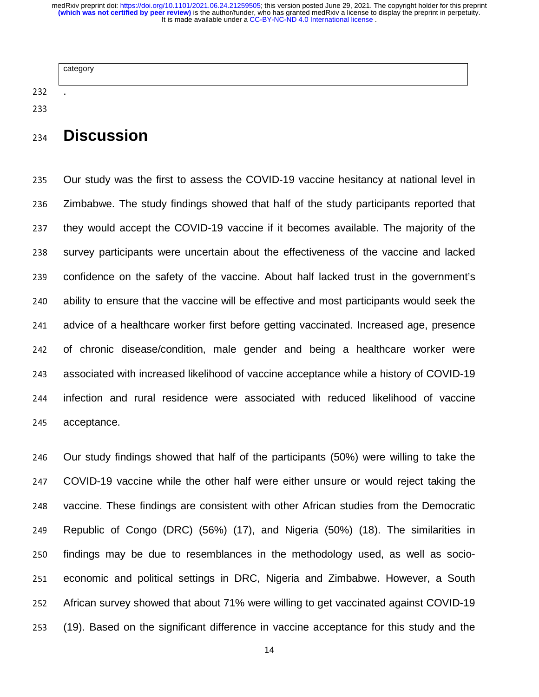|               | category       |  |
|---------------|----------------|--|
| 232           | $\blacksquare$ |  |
| $\sim$ $\sim$ |                |  |

## <sup>234</sup>**Discussion**

235 Our study was the first to assess the COVID-19 vaccine hesitancy at national level in 236 Zimbabwe. The study findings showed that half of the study participants reported that 237 they would accept the COVID-19 vaccine if it becomes available. The majority of the 238 survey participants were uncertain about the effectiveness of the vaccine and lacked 239 confidence on the safety of the vaccine. About half lacked trust in the government's 240 ability to ensure that the vaccine will be effective and most participants would seek the 241 advice of a healthcare worker first before getting vaccinated. Increased age, presence 242 of chronic disease/condition, male gender and being a healthcare worker were 243 associated with increased likelihood of vaccine acceptance while a history of COVID-19 244 infection and rural residence were associated with reduced likelihood of vaccine 245 acceptance.

246 Our study findings showed that half of the participants (50%) were willing to take the 247 COVID-19 vaccine while the other half were either unsure or would reject taking the 248 vaccine. These findings are consistent with other African studies from the Democratic 249 Republic of Congo (DRC) (56%) (17), and Nigeria (50%) (18). The similarities in 250 findings may be due to resemblances in the methodology used, as well as socio-251 economic and political settings in DRC, Nigeria and Zimbabwe. However, a South 252 African survey showed that about 71% were willing to get vaccinated against COVID-19 <sup>253</sup>(19). Based on the significant difference in vaccine acceptance for this study and the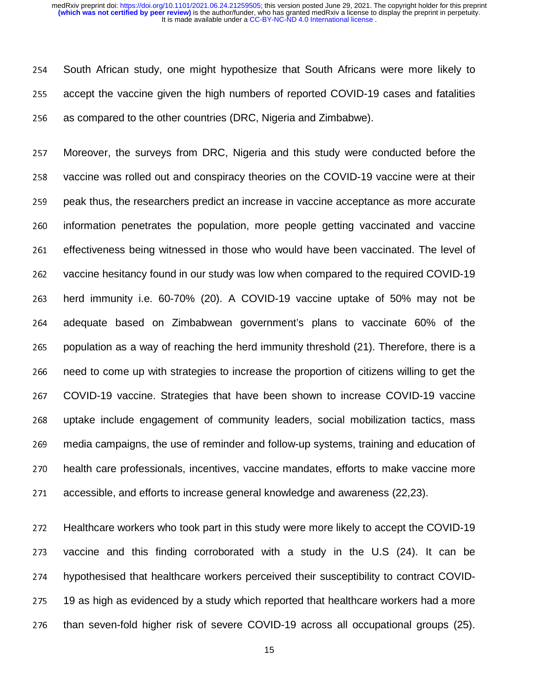254 South African study, one might hypothesize that South Africans were more likely to 255 accept the vaccine given the high numbers of reported COVID-19 cases and fatalities 256 as compared to the other countries (DRC, Nigeria and Zimbabwe).

257 Moreover, the surveys from DRC, Nigeria and this study were conducted before the 258 vaccine was rolled out and conspiracy theories on the COVID-19 vaccine were at their 259 peak thus, the researchers predict an increase in vaccine acceptance as more accurate 260 information penetrates the population, more people getting vaccinated and vaccine 261 effectiveness being witnessed in those who would have been vaccinated. The level of 262 vaccine hesitancy found in our study was low when compared to the required COVID-19 263 herd immunity i.e. 60-70% (20). A COVID-19 vaccine uptake of 50% may not be <sup>264</sup>adequate based on Zimbabwean government's plans to vaccinate 60% of the 265 population as a way of reaching the herd immunity threshold (21). Therefore, there is a 266 need to come up with strategies to increase the proportion of citizens willing to get the 267 COVID-19 vaccine. Strategies that have been shown to increase COVID-19 vaccine 268 uptake include engagement of community leaders, social mobilization tactics, mass 269 media campaigns, the use of reminder and follow-up systems, training and education of 270 health care professionals, incentives, vaccine mandates, efforts to make vaccine more 271 accessible, and efforts to increase general knowledge and awareness (22,23).

272 Healthcare workers who took part in this study were more likely to accept the COVID-19 273 vaccine and this finding corroborated with a study in the U.S (24). It can be 274 hypothesised that healthcare workers perceived their susceptibility to contract COVID-275 19 as high as evidenced by a study which reported that healthcare workers had a more 276 than seven-fold higher risk of severe COVID-19 across all occupational groups (25).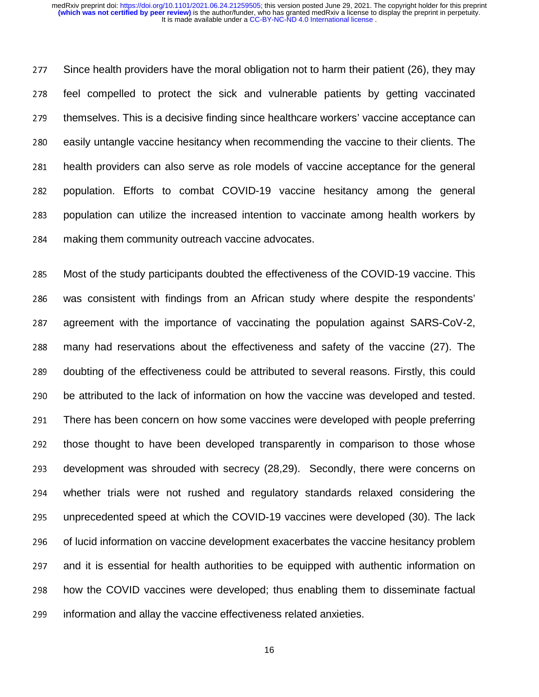277 Since health providers have the moral obligation not to harm their patient (26), they may 278 feel compelled to protect the sick and vulnerable patients by getting vaccinated 279 themselves. This is a decisive finding since healthcare workers' vaccine acceptance can 280 easily untangle vaccine hesitancy when recommending the vaccine to their clients. The 281 health providers can also serve as role models of vaccine acceptance for the general 282 population. Efforts to combat COVID-19 vaccine hesitancy among the general 283 population can utilize the increased intention to vaccinate among health workers by 284 making them community outreach vaccine advocates.

285 Most of the study participants doubted the effectiveness of the COVID-19 vaccine. This 286 was consistent with findings from an African study where despite the respondents' 287 agreement with the importance of vaccinating the population against SARS-CoV-2, 288 many had reservations about the effectiveness and safety of the vaccine (27). The 289 doubting of the effectiveness could be attributed to several reasons. Firstly, this could 290 be attributed to the lack of information on how the vaccine was developed and tested. 291 There has been concern on how some vaccines were developed with people preferring 292 those thought to have been developed transparently in comparison to those whose 293 development was shrouded with secrecy (28,29). Secondly, there were concerns on 294 whether trials were not rushed and regulatory standards relaxed considering the 295 unprecedented speed at which the COVID-19 vaccines were developed (30). The lack 296 of lucid information on vaccine development exacerbates the vaccine hesitancy problem 297 and it is essential for health authorities to be equipped with authentic information on 298 how the COVID vaccines were developed; thus enabling them to disseminate factual 299 information and allay the vaccine effectiveness related anxieties.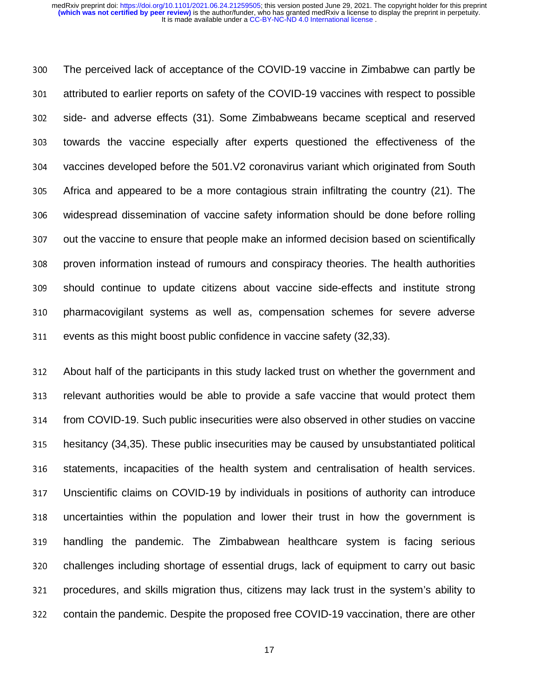<sup>300</sup>The perceived lack of acceptance of the COVID-19 vaccine in Zimbabwe can partly be 301 attributed to earlier reports on safety of the COVID-19 vaccines with respect to possible 302 side- and adverse effects (31). Some Zimbabweans became sceptical and reserved 303 towards the vaccine especially after experts questioned the effectiveness of the 304 vaccines developed before the 501.V2 coronavirus variant which originated from South <sup>305</sup>Africa and appeared to be a more contagious strain infiltrating the country (21). The 306 widespread dissemination of vaccine safety information should be done before rolling 307 out the vaccine to ensure that people make an informed decision based on scientifically 308 proven information instead of rumours and conspiracy theories. The health authorities <sup>309</sup>should continue to update citizens about vaccine side-effects and institute strong 310 pharmacovigilant systems as well as, compensation schemes for severe adverse 311 events as this might boost public confidence in vaccine safety (32,33).

312 About half of the participants in this study lacked trust on whether the government and 313 relevant authorities would be able to provide a safe vaccine that would protect them 314 from COVID-19. Such public insecurities were also observed in other studies on vaccine 315 hesitancy (34,35). These public insecurities may be caused by unsubstantiated political 316 statements, incapacities of the health system and centralisation of health services. 317 Unscientific claims on COVID-19 by individuals in positions of authority can introduce 318 uncertainties within the population and lower their trust in how the government is 319 handling the pandemic. The Zimbabwean healthcare system is facing serious 320 challenges including shortage of essential drugs, lack of equipment to carry out basic 321 procedures, and skills migration thus, citizens may lack trust in the system's ability to 322 contain the pandemic. Despite the proposed free COVID-19 vaccination, there are other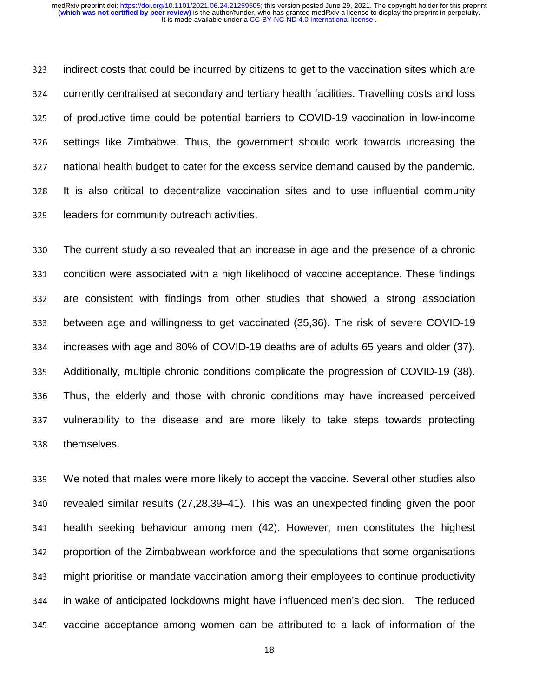323 indirect costs that could be incurred by citizens to get to the vaccination sites which are 324 currently centralised at secondary and tertiary health facilities. Travelling costs and loss 325 of productive time could be potential barriers to COVID-19 vaccination in low-income 326 settings like Zimbabwe. Thus, the government should work towards increasing the 327 national health budget to cater for the excess service demand caused by the pandemic. 328 It is also critical to decentralize vaccination sites and to use influential community 329 leaders for community outreach activities.

<sup>330</sup>The current study also revealed that an increase in age and the presence of a chronic 331 condition were associated with a high likelihood of vaccine acceptance. These findings 332 are consistent with findings from other studies that showed a strong association <sup>333</sup>between age and willingness to get vaccinated (35,36). The risk of severe COVID-19 334 increases with age and 80% of COVID-19 deaths are of adults 65 years and older (37). 335 Additionally, multiple chronic conditions complicate the progression of COVID-19 (38). 336 Thus, the elderly and those with chronic conditions may have increased perceived 337 vulnerability to the disease and are more likely to take steps towards protecting 338 themselves.

<sup>339</sup>We noted that males were more likely to accept the vaccine. Several other studies also 340 revealed similar results (27,28,39–41). This was an unexpected finding given the poor 341 health seeking behaviour among men (42). However, men constitutes the highest 342 proportion of the Zimbabwean workforce and the speculations that some organisations 343 might prioritise or mandate vaccination among their employees to continue productivity <sup>344</sup>in wake of anticipated lockdowns might have influenced men's decision. The reduced 345 vaccine acceptance among women can be attributed to a lack of information of the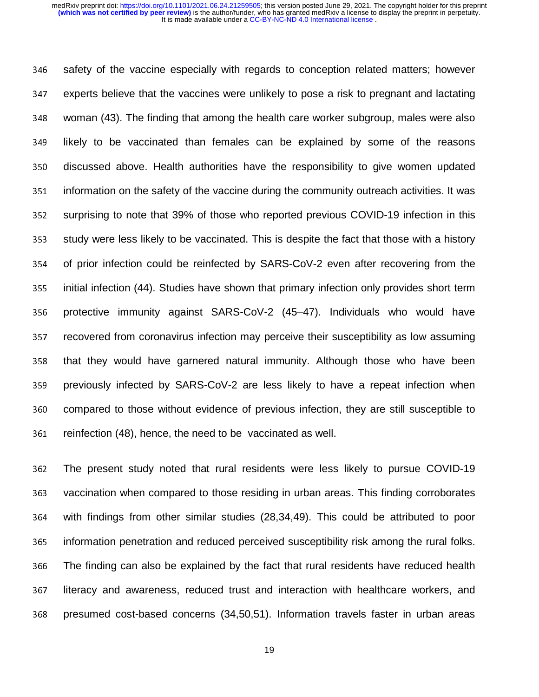346 safety of the vaccine especially with regards to conception related matters; however 347 experts believe that the vaccines were unlikely to pose a risk to pregnant and lactating 348 woman (43). The finding that among the health care worker subgroup, males were also <sup>349</sup>likely to be vaccinated than females can be explained by some of the reasons 350 discussed above. Health authorities have the responsibility to give women updated 351 information on the safety of the vaccine during the community outreach activities. It was 352 surprising to note that 39% of those who reported previous COVID-19 infection in this 353 study were less likely to be vaccinated. This is despite the fact that those with a history 354 of prior infection could be reinfected by SARS-CoV-2 even after recovering from the 355 initial infection (44). Studies have shown that primary infection only provides short term 356 protective immunity against SARS-CoV-2 (45–47). Individuals who would have 357 recovered from coronavirus infection may perceive their susceptibility as low assuming 358 that they would have garnered natural immunity. Although those who have been 359 previously infected by SARS-CoV-2 are less likely to have a repeat infection when 360 compared to those without evidence of previous infection, they are still susceptible to 361 reinfection (48), hence, the need to be vaccinated as well.

362 The present study noted that rural residents were less likely to pursue COVID-19 363 vaccination when compared to those residing in urban areas. This finding corroborates 364 with findings from other similar studies (28,34,49). This could be attributed to poor 365 information penetration and reduced perceived susceptibility risk among the rural folks. 366 The finding can also be explained by the fact that rural residents have reduced health 367 literacy and awareness, reduced trust and interaction with healthcare workers, and 368 presumed cost-based concerns (34,50,51). Information travels faster in urban areas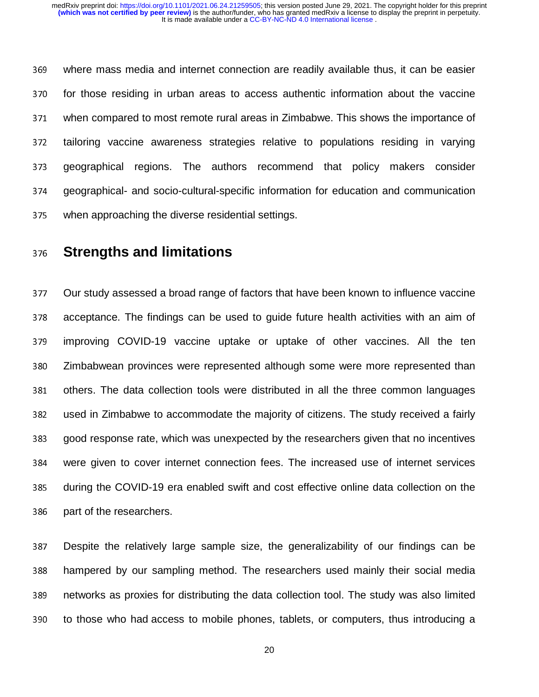<sup>369</sup>where mass media and internet connection are readily available thus, it can be easier 370 for those residing in urban areas to access authentic information about the vaccine <sup>371</sup>when compared to most remote rural areas in Zimbabwe. This shows the importance of 372 tailoring vaccine awareness strategies relative to populations residing in varying 373 geographical regions. The authors recommend that policy makers consider <sup>374</sup>geographical- and socio-cultural-specific information for education and communication 375 when approaching the diverse residential settings.

## <sup>376</sup>**Strengths and limitations**

<sup>377</sup>Our study assessed a broad range of factors that have been known to influence vaccine 378 acceptance. The findings can be used to guide future health activities with an aim of 379 improving COVID-19 vaccine uptake or uptake of other vaccines. All the ten 380 Zimbabwean provinces were represented although some were more represented than 381 others. The data collection tools were distributed in all the three common languages 382 used in Zimbabwe to accommodate the majority of citizens. The study received a fairly <sup>383</sup>good response rate, which was unexpected by the researchers given that no incentives <sup>384</sup>were given to cover internet connection fees. The increased use of internet services <sup>385</sup>during the COVID-19 era enabled swift and cost effective online data collection on the 386 part of the researchers.

<sup>387</sup>Despite the relatively large sample size, the generalizability of our findings can be 388 hampered by our sampling method. The researchers used mainly their social media 389 networks as proxies for distributing the data collection tool. The study was also limited 390 to those who had access to mobile phones, tablets, or computers, thus introducing a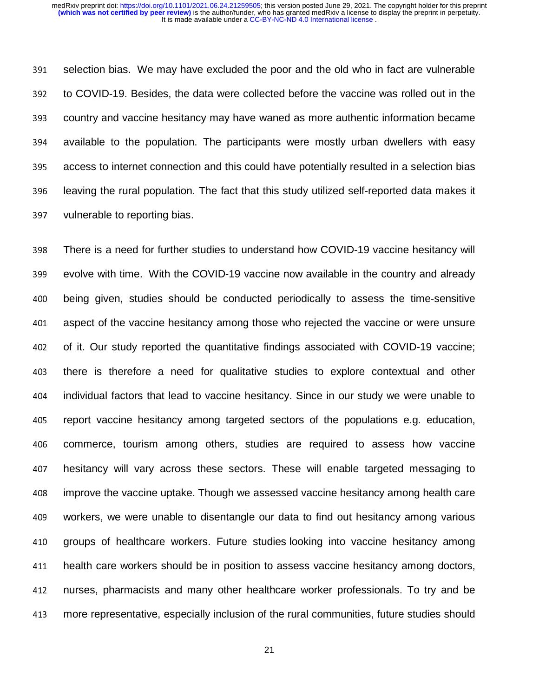391 selection bias. We may have excluded the poor and the old who in fact are vulnerable 392 to COVID-19. Besides, the data were collected before the vaccine was rolled out in the <sup>393</sup>country and vaccine hesitancy may have waned as more authentic information became 394 available to the population. The participants were mostly urban dwellers with easy 395 access to internet connection and this could have potentially resulted in a selection bias 396 leaving the rural population. The fact that this study utilized self-reported data makes it 397 vulnerable to reporting bias.

398 There is a need for further studies to understand how COVID-19 vaccine hesitancy will 399 evolve with time. With the COVID-19 vaccine now available in the country and already 400 being given, studies should be conducted periodically to assess the time-sensitive 401 aspect of the vaccine hesitancy among those who rejected the vaccine or were unsure 402 of it. Our study reported the quantitative findings associated with COVID-19 vaccine; 403 there is therefore a need for qualitative studies to explore contextual and other <sup>404</sup>individual factors that lead to vaccine hesitancy. Since in our study we were unable to 405 report vaccine hesitancy among targeted sectors of the populations e.g. education, 406 commerce, tourism among others, studies are required to assess how vaccine 407 hesitancy will vary across these sectors. These will enable targeted messaging to 408 improve the vaccine uptake. Though we assessed vaccine hesitancy among health care 409 workers, we were unable to disentangle our data to find out hesitancy among various 410 groups of healthcare workers. Future studies looking into vaccine hesitancy among 411 health care workers should be in position to assess vaccine hesitancy among doctors, 412 nurses, pharmacists and many other healthcare worker professionals. To try and be 413 more representative, especially inclusion of the rural communities, future studies should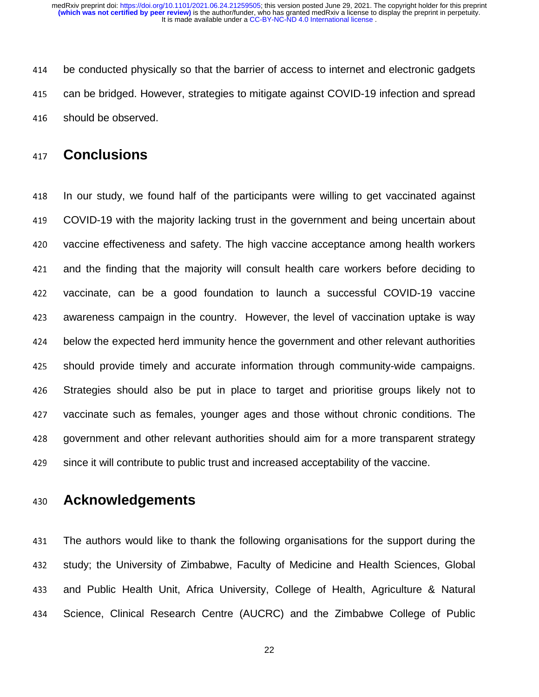414 be conducted physically so that the barrier of access to internet and electronic gadgets 415 can be bridged. However, strategies to mitigate against COVID-19 infection and spread 416 should be observed.

### <sup>417</sup>**Conclusions**

418 In our study, we found half of the participants were willing to get vaccinated against 419 COVID-19 with the majority lacking trust in the government and being uncertain about 420 vaccine effectiveness and safety. The high vaccine acceptance among health workers 421 and the finding that the majority will consult health care workers before deciding to 422 vaccinate, can be a good foundation to launch a successful COVID-19 vaccine 423 awareness campaign in the country. However, the level of vaccination uptake is way 424 below the expected herd immunity hence the government and other relevant authorities 425 should provide timely and accurate information through community-wide campaigns. 426 Strategies should also be put in place to target and prioritise groups likely not to 427 vaccinate such as females, younger ages and those without chronic conditions. The 428 government and other relevant authorities should aim for a more transparent strategy 429 since it will contribute to public trust and increased acceptability of the vaccine.

### <sup>430</sup>**Acknowledgements**

431 The authors would like to thank the following organisations for the support during the 432 study; the University of Zimbabwe, Faculty of Medicine and Health Sciences, Global 433 and Public Health Unit, Africa University, College of Health, Agriculture & Natural 434 Science, Clinical Research Centre (AUCRC) and the Zimbabwe College of Public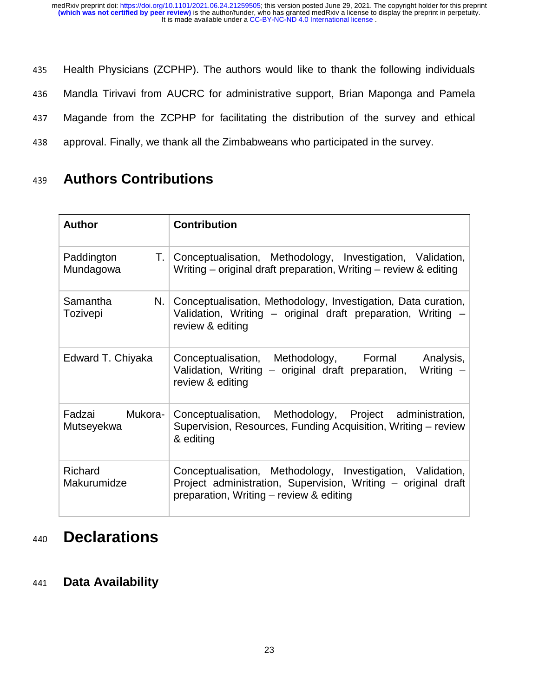435 Health Physicians (ZCPHP). The authors would like to thank the following individuals

436 Mandla Tirivavi from AUCRC for administrative support, Brian Maponga and Pamela

437 Magande from the ZCPHP for facilitating the distribution of the survey and ethical

438 approval. Finally, we thank all the Zimbabweans who participated in the survey.

## <sup>439</sup>**Authors Contributions**

| <b>Author</b>                | <b>Contribution</b>                                                                                                                                                    |
|------------------------------|------------------------------------------------------------------------------------------------------------------------------------------------------------------------|
| Paddington<br>Mundagowa      | T. Conceptualisation, Methodology, Investigation, Validation,<br>Writing – original draft preparation, Writing – review & editing                                      |
| N.<br>Samantha<br>Tozivepi   | Conceptualisation, Methodology, Investigation, Data curation,<br>Validation, Writing - original draft preparation, Writing -<br>review & editing                       |
| Edward T. Chiyaka            | Conceptualisation, Methodology, Formal<br>Analysis,<br>Validation, Writing – original draft preparation,<br>Writing -<br>review & editing                              |
| Fadzai Mukora-<br>Mutseyekwa | Conceptualisation, Methodology, Project administration,<br>Supervision, Resources, Funding Acquisition, Writing – review<br>& editing                                  |
| Richard<br>Makurumidze       | Conceptualisation, Methodology, Investigation, Validation,<br>Project administration, Supervision, Writing - original draft<br>preparation, Writing - review & editing |

# <sup>440</sup>**Declarations**

### <sup>441</sup>**Data Availability**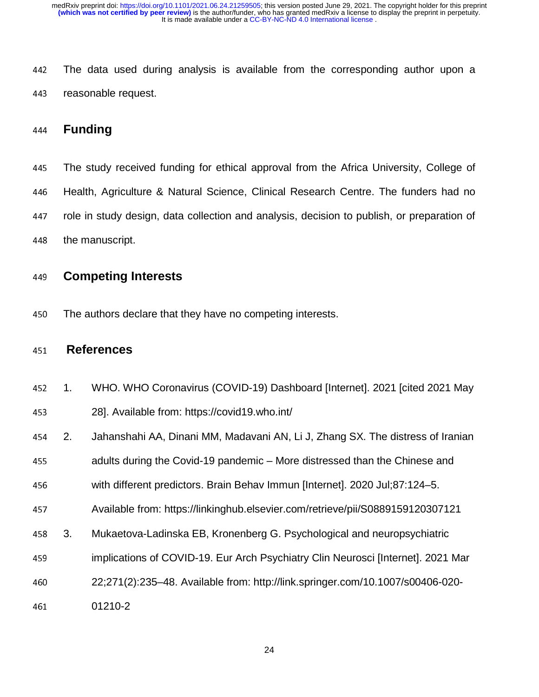442 The data used during analysis is available from the corresponding author upon a 443 reasonable request.

### <sup>444</sup>**Funding**

445 The study received funding for ethical approval from the Africa University, College of 446 Health, Agriculture & Natural Science, Clinical Research Centre. The funders had no 447 role in study design, data collection and analysis, decision to publish, or preparation of 448 the manuscript.

### <sup>449</sup>**Competing Interests**

450 The authors declare that they have no competing interests.

### <sup>451</sup>**References**

- <sup>452</sup>1. WHO. WHO Coronavirus (COVID-19) Dashboard [Internet]. 2021 [cited 2021 May
- <sup>453</sup>28]. Available from: https://covid19.who.int/
- <sup>454</sup>2. Jahanshahi AA, Dinani MM, Madavani AN, Li J, Zhang SX. The distress of Iranian
- 455 adults during the Covid-19 pandemic More distressed than the Chinese and

<sup>456</sup>with different predictors. Brain Behav Immun [Internet]. 2020 Jul;87:124–5.

- 457 Available from: https://linkinghub.elsevier.com/retrieve/pii/S0889159120307121
- <sup>458</sup>3. Mukaetova-Ladinska EB, Kronenberg G. Psychological and neuropsychiatric
- <sup>459</sup>implications of COVID-19. Eur Arch Psychiatry Clin Neurosci [Internet]. 2021 Mar
- <sup>460</sup>22;271(2):235–48. Available from: http://link.springer.com/10.1007/s00406-020-
- 461 01210-2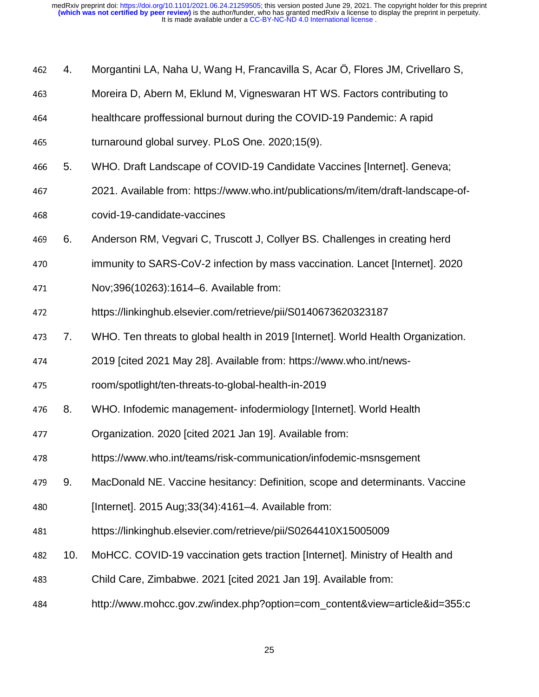- <sup>462</sup>4. Morgantini LA, Naha U, Wang H, Francavilla S, Acar Ö, Flores JM, Crivellaro S,
- 463 Moreira D, Abern M, Eklund M, Vigneswaran HT WS. Factors contributing to
- <sup>464</sup>healthcare proffessional burnout during the COVID-19 Pandemic: A rapid
- 465 turnaround global survey. PLoS One. 2020;15(9).
- <sup>466</sup>5. WHO. Draft Landscape of COVID-19 Candidate Vaccines [Internet]. Geneva;
- 467 2021. Available from: https://www.who.int/publications/m/item/draft-landscape-of-
- <sup>468</sup>covid-19-candidate-vaccines
- <sup>469</sup>6. Anderson RM, Vegvari C, Truscott J, Collyer BS. Challenges in creating herd
- 470 immunity to SARS-CoV-2 infection by mass vaccination. Lancet [Internet]. 2020
- 471 Nov;396(10263):1614–6. Available from:
- 472 https://linkinghub.elsevier.com/retrieve/pii/S0140673620323187
- 473 7. WHO. Ten threats to global health in 2019 [Internet]. World Health Organization.
- 474 2019 [cited 2021 May 28]. Available from: https://www.who.int/news-
- <sup>475</sup>room/spotlight/ten-threats-to-global-health-in-2019
- 476 8. WHO. Infodemic management- infodermiology [Internet]. World Health
- 477 Crganization. 2020 [cited 2021 Jan 19]. Available from:
- 478 https://www.who.int/teams/risk-communication/infodemic-msnsgement
- <sup>479</sup>9. MacDonald NE. Vaccine hesitancy: Definition, scope and determinants. Vaccine
- <sup>480</sup>[Internet]. 2015 Aug;33(34):4161–4. Available from:
- <sup>481</sup>https://linkinghub.elsevier.com/retrieve/pii/S0264410X15005009
- 482 10. MoHCC. COVID-19 vaccination gets traction [Internet]. Ministry of Health and
- <sup>483</sup>Child Care, Zimbabwe. 2021 [cited 2021 Jan 19]. Available from:
- <sup>484</sup>http://www.mohcc.gov.zw/index.php?option=com\_content&view=article&id=355:c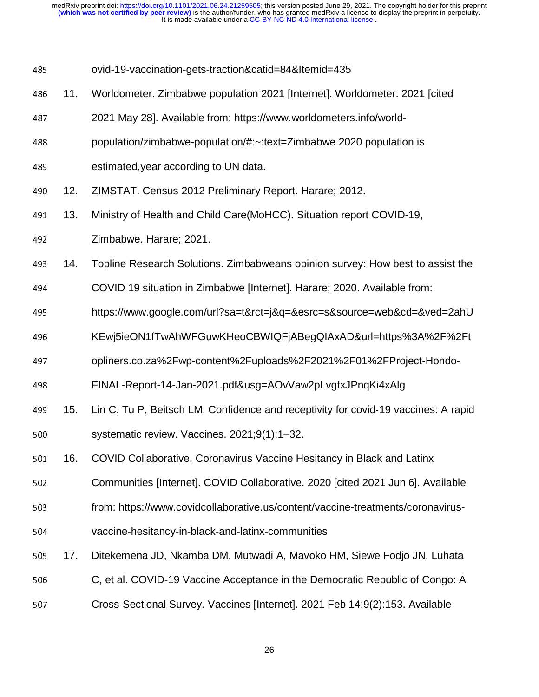- <sup>485</sup>ovid-19-vaccination-gets-traction&catid=84&Itemid=435
- <sup>486</sup>11. Worldometer. Zimbabwe population 2021 [Internet]. Worldometer. 2021 [cited
- 487 2021 May 28]. Available from: https://www.worldometers.info/world-
- <sup>488</sup>population/zimbabwe-population/#:~:text=Zimbabwe 2020 population is
- 489 estimated, year according to UN data.
- 490 12. ZIMSTAT. Census 2012 Preliminary Report. Harare; 2012.
- 491 13. Ministry of Health and Child Care(MoHCC). Situation report COVID-19,
- 492 **Zimbabwe. Harare**; 2021.
- <sup>493</sup>14. Topline Research Solutions. Zimbabweans opinion survey: How best to assist the
- <sup>494</sup>COVID 19 situation in Zimbabwe [Internet]. Harare; 2020. Available from:
- <sup>495</sup>https://www.google.com/url?sa=t&rct=j&q=&esrc=s&source=web&cd=&ved=2ahU
- <sup>496</sup>KEwj5ieON1fTwAhWFGuwKHeoCBWIQFjABegQIAxAD&url=https%3A%2F%2Ft
- 497 opliners.co.za%2Fwp-content%2Fuploads%2F2021%2F01%2FProject-Hondo-
- <sup>498</sup>FINAL-Report-14-Jan-2021.pdf&usg=AOvVaw2pLvgfxJPnqKi4xAlg
- 15. Lin C, Tu P, Beitsch LM. Confidence and receptivity for covid-19 vaccines: A rapid<br>500 systematic review. Vaccines. 2021;9(1):1–32. 500 systematic review. Vaccines. 2021;9(1):1–32.
- 501 16. COVID Collaborative. Coronavirus Vaccine Hesitancy in Black and Latinx
- 502 Communities [Internet]. COVID Collaborative. 2020 [cited 2021 Jun 6]. Available
- 503 from: https://www.covidcollaborative.us/content/vaccine-treatments/coronavirus-
- 504 vaccine-hesitancy-in-black-and-latinx-communities
- <sup>505</sup>17. Ditekemena JD, Nkamba DM, Mutwadi A, Mavoko HM, Siewe Fodjo JN, Luhata
- 506 **C, et al. COVID-19 Vaccine Acceptance in the Democratic Republic of Congo: A**
- 507 Cross-Sectional Survey. Vaccines [Internet]. 2021 Feb 14;9(2):153. Available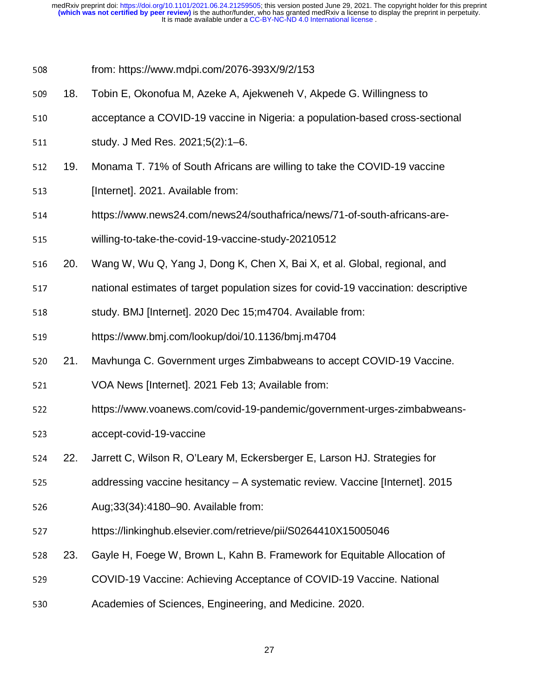- <sup>508</sup>from: https://www.mdpi.com/2076-393X/9/2/153
- <sup>509</sup>18. Tobin E, Okonofua M, Azeke A, Ajekweneh V, Akpede G. Willingness to
- 510 **Example 2 acceptance a COVID-19 vaccine in Nigeria: a population-based cross-sectional**
- 511 study. J Med Res. 2021;5(2):1–6.
- 512 19. Monama T. 71% of South Africans are willing to take the COVID-19 vaccine
- 513 [Internet]. 2021. Available from:
- 514 https://www.news24.com/news24/southafrica/news/71-of-south-africans-are-
- 515 willing-to-take-the-covid-19-vaccine-study-20210512
- 516 20. Wang W, Wu Q, Yang J, Dong K, Chen X, Bai X, et al. Global, regional, and
- 517 hational estimates of target population sizes for covid-19 vaccination: descriptive
- 518 study. BMJ [Internet]. 2020 Dec 15;m4704. Available from:
- 519 https://www.bmj.com/lookup/doi/10.1136/bmj.m4704
- 520 21. Mavhunga C. Government urges Zimbabweans to accept COVID-19 Vaccine.
- 521 VOA News [Internet]. 2021 Feb 13; Available from:
- 522 https://www.voanews.com/covid-19-pandemic/government-urges-zimbabweans-
- 523 accept-covid-19-vaccine
- <sup>524</sup>22. Jarrett C, Wilson R, O'Leary M, Eckersberger E, Larson HJ. Strategies for
- 525 addressing vaccine hesitancy A systematic review. Vaccine [Internet]. 2015
- 526 Aug; 33(34): 4180–90. Available from:
- 527 https://linkinghub.elsevier.com/retrieve/pii/S0264410X15005046
- 528 23. Gayle H, Foege W, Brown L, Kahn B. Framework for Equitable Allocation of
- 529 COVID-19 Vaccine: Achieving Acceptance of COVID-19 Vaccine. National
- 530 **Academies of Sciences, Engineering, and Medicine. 2020.**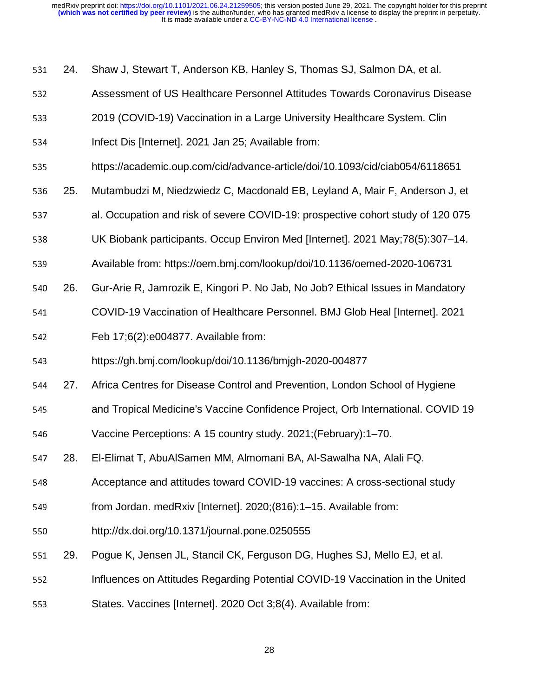- 531 24. Shaw J, Stewart T, Anderson KB, Hanley S, Thomas SJ, Salmon DA, et al.
- 532 **Shaws** Assessment of US Healthcare Personnel Attitudes Towards Coronavirus Disease
- 533 2019 (COVID-19) Vaccination in a Large University Healthcare System. Clin
- 534 Infect Dis [Internet]. 2021 Jan 25; Available from:
- 535 https://academic.oup.com/cid/advance-article/doi/10.1093/cid/ciab054/6118651
- <sup>536</sup>25. Mutambudzi M, Niedzwiedz C, Macdonald EB, Leyland A, Mair F, Anderson J, et
- 537 al. Occupation and risk of severe COVID-19: prospective cohort study of 120 075
- 538 UK Biobank participants. Occup Environ Med [Internet]. 2021 May;78(5):307–14.
- 539 Available from: https://oem.bmj.com/lookup/doi/10.1136/oemed-2020-106731
- 540 26. Gur-Arie R, Jamrozik E, Kingori P. No Jab, No Job? Ethical Issues in Mandatory
- 541 COVID-19 Vaccination of Healthcare Personnel. BMJ Glob Heal [Internet]. 2021
- 542 **Feb 17;6(2):e004877. Available from:**
- 543 https://gh.bmj.com/lookup/doi/10.1136/bmjgh-2020-004877
- 544 27. Africa Centres for Disease Control and Prevention, London School of Hygiene
- 545 and Tropical Medicine's Vaccine Confidence Project, Orb International. COVID 19
- 546 Vaccine Perceptions: A 15 country study. 2021;(February):1–70.
- <sup>547</sup>28. El-Elimat T, AbuAlSamen MM, Almomani BA, Al-Sawalha NA, Alali FQ.
- 548 Acceptance and attitudes toward COVID-19 vaccines: A cross-sectional study
- 549 from Jordan. medRxiv [Internet]. 2020;(816):1–15. Available from:
- 550 http://dx.doi.org/10.1371/journal.pone.0250555
- 551 29. Pogue K, Jensen JL, Stancil CK, Ferguson DG, Hughes SJ, Mello EJ, et al.
- 552 **Influences on Attitudes Regarding Potential COVID-19 Vaccination in the United**
- 553 States. Vaccines [Internet]. 2020 Oct 3;8(4). Available from: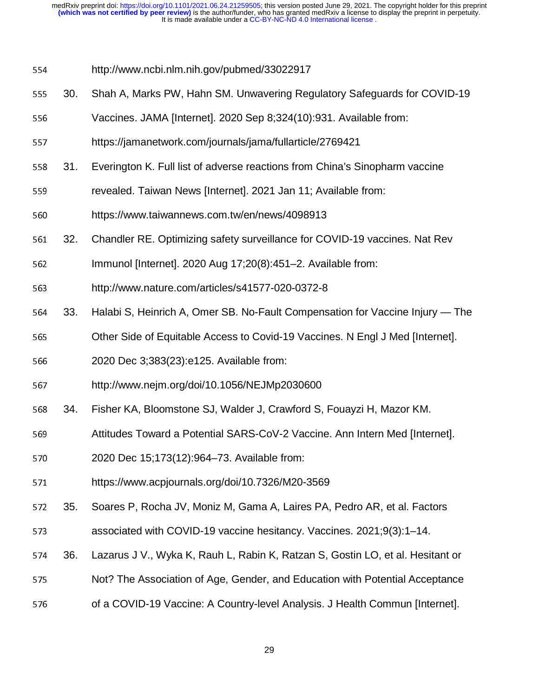- 554 http://www.ncbi.nlm.nih.gov/pubmed/33022917
- 555 30. Shah A, Marks PW, Hahn SM. Unwavering Regulatory Safeguards for COVID-19
- 556 Vaccines. JAMA [Internet]. 2020 Sep 8:324(10):931. Available from:
- 557 https://jamanetwork.com/journals/jama/fullarticle/2769421
- 558 31. Everington K. Full list of adverse reactions from China's Sinopharm vaccine
- 559 revealed. Taiwan News [Internet]. 2021 Jan 11; Available from:
- 560 https://www.taiwannews.com.tw/en/news/4098913
- <sup>561</sup>32. Chandler RE. Optimizing safety surveillance for COVID-19 vaccines. Nat Rev
- 562 **Immunol [Internet]. 2020 Aug 17;20(8):451–2. Available from:**
- <sup>563</sup>http://www.nature.com/articles/s41577-020-0372-8
- 564 33. Halabi S, Heinrich A, Omer SB. No-Fault Compensation for Vaccine Injury The
- 565 Other Side of Equitable Access to Covid-19 Vaccines. N Engl J Med [Internet].
- 566 2020 Dec 3;383(23):e125. Available from:
- 567 http://www.nejm.org/doi/10.1056/NEJMp2030600
- <sup>568</sup>34. Fisher KA, Bloomstone SJ, Walder J, Crawford S, Fouayzi H, Mazor KM.
- 569 Attitudes Toward a Potential SARS-CoV-2 Vaccine. Ann Intern Med [Internet].
- <sup>570</sup>2020 Dec 15;173(12):964–73. Available from:
- 571 https://www.acpjournals.org/doi/10.7326/M20-3569
- 572 35. Soares P, Rocha JV, Moniz M, Gama A, Laires PA, Pedro AR, et al. Factors
- 573 ssociated with COVID-19 vaccine hesitancy. Vaccines. 2021;9(3):1–14.
- 574 36. Lazarus J V., Wyka K, Rauh L, Rabin K, Ratzan S, Gostin LO, et al. Hesitant or
- 575 Not? The Association of Age, Gender, and Education with Potential Acceptance
- 576 of a COVID-19 Vaccine: A Country-level Analysis. J Health Commun [Internet].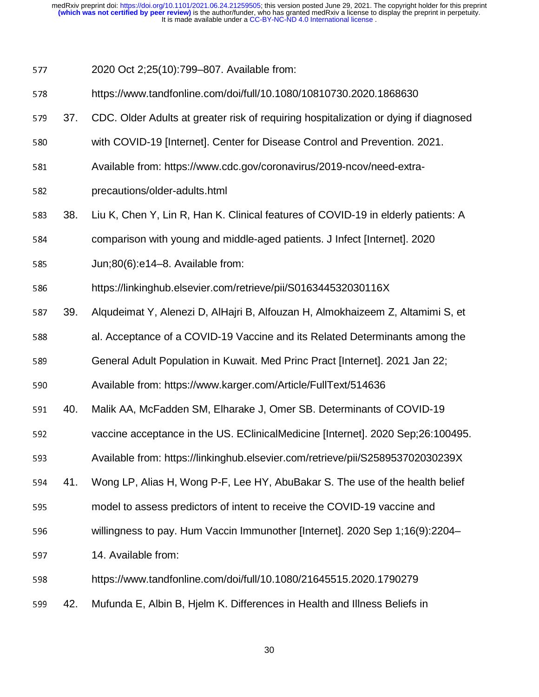577 2020 Oct 2;25(10):799–807. Available from:

578 https://www.tandfonline.com/doi/full/10.1080/10810730.2020.1868630

579 37. CDC. Older Adults at greater risk of requiring hospitalization or dying if diagnosed

580 with COVID-19 [Internet]. Center for Disease Control and Prevention. 2021.

- 581 Available from: https://www.cdc.gov/coronavirus/2019-ncov/need-extra-
- 582 precautions/older-adults.html
- 583 38. Liu K, Chen Y, Lin R, Han K. Clinical features of COVID-19 in elderly patients: A
- 584 comparison with young and middle-aged patients. J Infect [Internet]. 2020
- 585 Jun;80(6):e14–8. Available from:

586 https://linkinghub.elsevier.com/retrieve/pii/S016344532030116X

- <sup>587</sup>39. Alqudeimat Y, Alenezi D, AlHajri B, Alfouzan H, Almokhaizeem Z, Altamimi S, et
- 588 al. Acceptance of a COVID-19 Vaccine and its Related Determinants among the

589 General Adult Population in Kuwait. Med Princ Pract [Internet]. 2021 Jan 22;

<sup>590</sup>Available from: https://www.karger.com/Article/FullText/514636

- 591 40. Malik AA, McFadden SM, Elharake J, Omer SB. Determinants of COVID-19
- 592 vaccine acceptance in the US. EClinicalMedicine [Internet]. 2020 Sep;26:100495.
- 593 Available from: https://linkinghub.elsevier.com/retrieve/pii/S258953702030239X
- 594 41. Wong LP, Alias H, Wong P-F, Lee HY, AbuBakar S. The use of the health belief
- 595 model to assess predictors of intent to receive the COVID-19 vaccine and
- 596 willingness to pay. Hum Vaccin Immunother [Internet]. 2020 Sep 1;16(9):2204–
- 597 14. Available from:
- 598 https://www.tandfonline.com/doi/full/10.1080/21645515.2020.1790279
- <sup>599</sup>42. Mufunda E, Albin B, Hjelm K. Differences in Health and Illness Beliefs in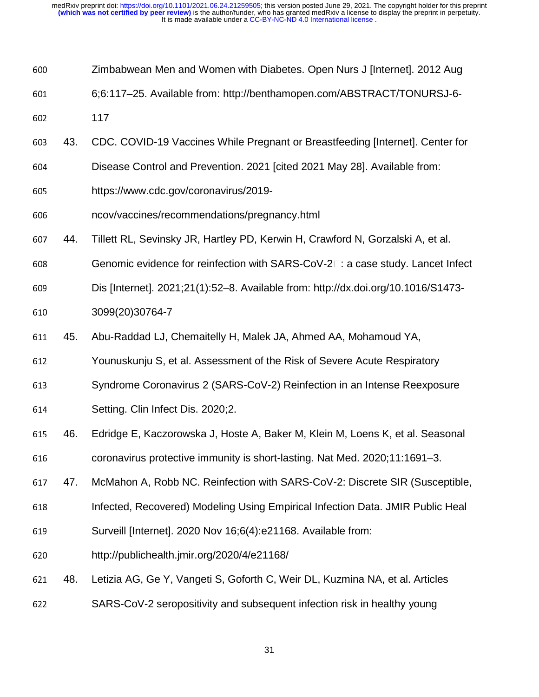- Zimbabwean Men and Women with Diabetes. Open Nurs J [Internet]. 2012 Aug
- 6;6:117–25. Available from: http://benthamopen.com/ABSTRACT/TONURSJ-6-
- 602 117
- 43. CDC. COVID-19 Vaccines While Pregnant or Breastfeeding [Internet]. Center for
- 604 Disease Control and Prevention. 2021 [cited 2021 May 28]. Available from:
- https://www.cdc.gov/coronavirus/2019-
- ncov/vaccines/recommendations/pregnancy.html
- 44. Tillett RL, Sevinsky JR, Hartley PD, Kerwin H, Crawford N, Gorzalski A, et al.
- Genomic evidence for reinfection with SARS-CoV-2 $\square$ : a case study. Lancet Infect
- Dis [Internet]. 2021;21(1):52–8. Available from: http://dx.doi.org/10.1016/S1473- 610 3099(20)30764-7
- 45. Abu-Raddad LJ, Chemaitelly H, Malek JA, Ahmed AA, Mohamoud YA,
- 612 Younuskunju S, et al. Assessment of the Risk of Severe Acute Respiratory
- Syndrome Coronavirus 2 (SARS-CoV-2) Reinfection in an Intense Reexposure
- **Setting. Clin Infect Dis. 2020;2.**
- 46. Edridge E, Kaczorowska J, Hoste A, Baker M, Klein M, Loens K, et al. Seasonal
- 616 coronavirus protective immunity is short-lasting. Nat Med. 2020;11:1691–3.
- 617 47. McMahon A, Robb NC. Reinfection with SARS-CoV-2: Discrete SIR (Susceptible,
- Infected, Recovered) Modeling Using Empirical Infection Data. JMIR Public Heal
- Surveill [Internet]. 2020 Nov 16;6(4):e21168. Available from:
- http://publichealth.jmir.org/2020/4/e21168/
- 48. Letizia AG, Ge Y, Vangeti S, Goforth C, Weir DL, Kuzmina NA, et al. Articles
- SARS-CoV-2 seropositivity and subsequent infection risk in healthy young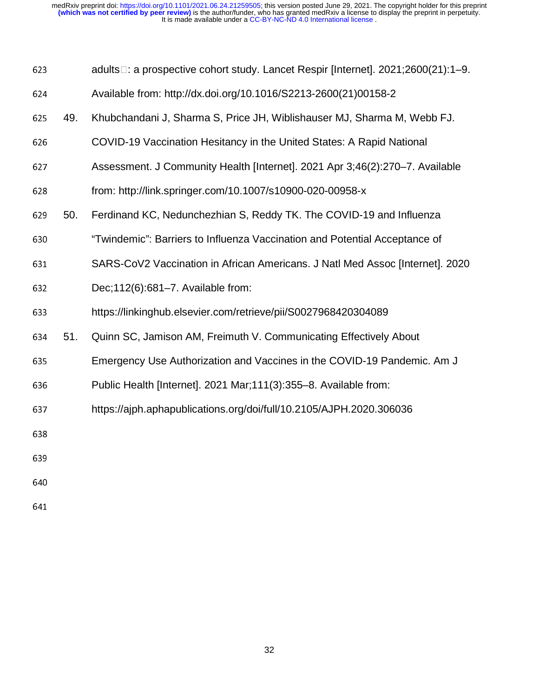| 623 | adults□: a prospective cohort study. Lancet Respir [Internet]. 2021;2600(21):1–9. |
|-----|-----------------------------------------------------------------------------------|
|     |                                                                                   |

- <sup>624</sup>Available from: http://dx.doi.org/10.1016/S2213-2600(21)00158-2
- <sup>625</sup>49. Khubchandani J, Sharma S, Price JH, Wiblishauser MJ, Sharma M, Webb FJ.
- 626 COVID-19 Vaccination Hesitancy in the United States: A Rapid National
- <sup>627</sup>Assessment. J Community Health [Internet]. 2021 Apr 3;46(2):270–7. Available
- 628 from: http://link.springer.com/10.1007/s10900-020-00958-x
- <sup>629</sup>50. Ferdinand KC, Nedunchezhian S, Reddy TK. The COVID-19 and Influenza
- <sup>630</sup>"Twindemic": Barriers to Influenza Vaccination and Potential Acceptance of
- 631 SARS-CoV2 Vaccination in African Americans. J Natl Med Assoc [Internet]. 2020
- 632 Dec;112(6):681–7. Available from:
- <sup>633</sup>https://linkinghub.elsevier.com/retrieve/pii/S0027968420304089
- 634 51. Quinn SC, Jamison AM, Freimuth V. Communicating Effectively About
- <sup>635</sup>Emergency Use Authorization and Vaccines in the COVID-19 Pandemic. Am J
- 636 Public Health [Internet]. 2021 Mar;111(3):355–8. Available from:
- <sup>637</sup>https://ajph.aphapublications.org/doi/full/10.2105/AJPH.2020.306036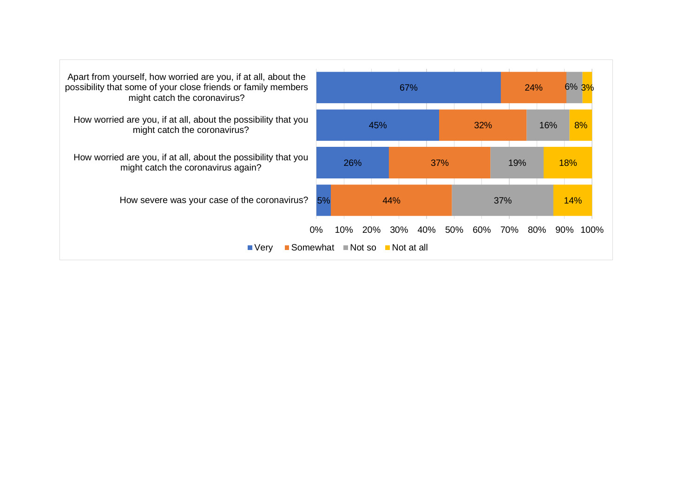| Apart from yourself, how worried are you, if at all, about the<br>possibility that some of your close friends or family members<br>might catch the coronavirus? |    |     |            | 67%                                  |     |     |     | 24% | 6% 3%       |
|-----------------------------------------------------------------------------------------------------------------------------------------------------------------|----|-----|------------|--------------------------------------|-----|-----|-----|-----|-------------|
| How worried are you, if at all, about the possibility that you<br>might catch the coronavirus?                                                                  |    |     | 45%        |                                      |     | 32% |     | 16% | 8%          |
| How worried are you, if at all, about the possibility that you<br>might catch the coronavirus again?                                                            |    | 26% |            |                                      | 37% |     | 19% |     | 18%         |
| How severe was your case of the coronavirus?                                                                                                                    | 5% |     | 44%        |                                      |     |     | 37% |     | 14%         |
| Somewhat $\blacksquare$ Not so<br>$\blacksquare$ Very                                                                                                           | 0% | 10% | <b>20%</b> | $30\%$<br>40%<br><b>■</b> Not at all | 50% | 60% | 70% | 80% | 100%<br>90% |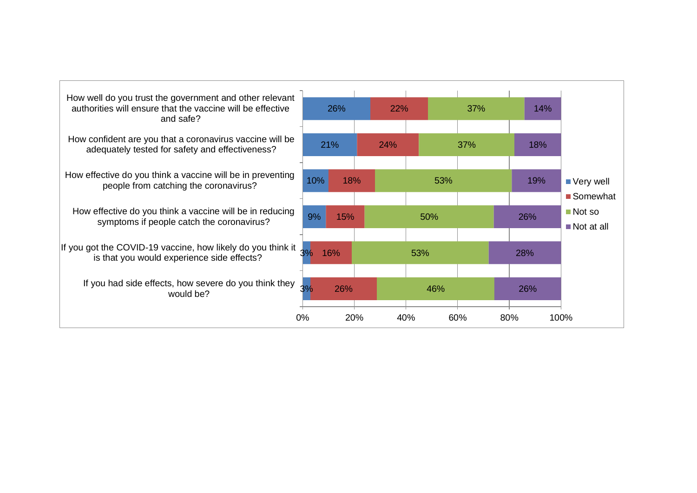| How well do you trust the government and other relevant<br>authorities will ensure that the vaccine will be effective<br>and safe? |     | 26% | 22% |     | 37% | 14% |                                                    |
|------------------------------------------------------------------------------------------------------------------------------------|-----|-----|-----|-----|-----|-----|----------------------------------------------------|
| How confident are you that a coronavirus vaccine will be<br>adequately tested for safety and effectiveness?                        |     | 21% | 24% |     | 37% | 18% |                                                    |
| How effective do you think a vaccine will be in preventing<br>people from catching the coronavirus?                                | 10% | 18% |     | 53% |     | 19% | ■ Very well<br>■ Somewhat                          |
| How effective do you think a vaccine will be in reducing<br>symptoms if people catch the coronavirus?                              | 9%  | 15% |     | 50% |     | 26% | $\blacksquare$ Not so<br>$\blacksquare$ Not at all |
| If you got the COVID-19 vaccine, how likely do you think it $\frac{1}{3\%}$<br>is that you would experience side effects?          |     | 16% |     | 53% |     | 28% |                                                    |
| If you had side effects, how severe do you think they<br>would be?                                                                 | 3%  | 26% |     | 46% |     | 26% |                                                    |
|                                                                                                                                    | 0%  | 20% | 40% |     | 60% | 80% | 100%                                               |